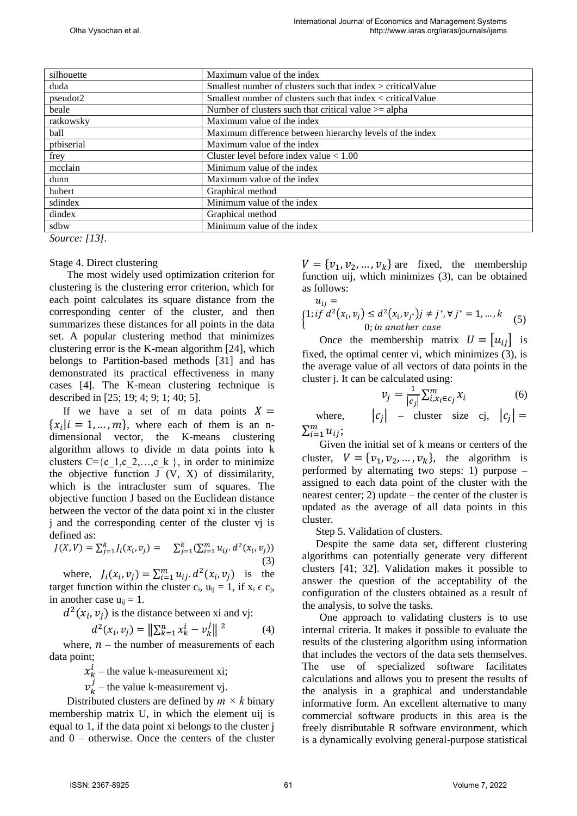| silhouette | Maximum value of the index                                   |
|------------|--------------------------------------------------------------|
| duda       | Smallest number of clusters such that index > criticalValue  |
| pseudot2   | Smallest number of clusters such that index < critical Value |
| beale      | Number of clusters such that critical value $\geq$ alpha     |
| ratkowsky  | Maximum value of the index                                   |
| ball       | Maximum difference between hierarchy levels of the index     |
| ptbiserial | Maximum value of the index                                   |
| frey       | Cluster level before index value $< 1.00$                    |
| mcclain    | Minimum value of the index                                   |
| dunn       | Maximum value of the index                                   |
| hubert     | Graphical method                                             |
| sdindex    | Minimum value of the index                                   |
| dindex     | Graphical method                                             |
| sdbw       | Minimum value of the index                                   |
| $- - - -$  |                                                              |

*Source: [13].* 

## Stage 4. Direct clustering

The most widely used optimization criterion for clustering is the clustering error criterion, which for each point calculates its square distance from the corresponding center of the cluster, and then summarizes these distances for all points in the data set. A popular clustering method that minimizes clustering error is the K-mean algorithm [24], which belongs to Partition-based methods [31] and has demonstrated its practical effectiveness in many cases [4]. The K-mean clustering technique is described in [25; 19; 4; 9; 1; 40; 5].

If we have a set of m data points  $X =$  $\{x_i | i = 1, ..., m\}$ , where each of them is an ndimensional vector, the K-means clustering algorithm allows to divide m data points into k clusters  $C = \{c_1, c_2, \ldots, c_k\}$ , in order to minimize the objective function  $J (V, X)$  of dissimilarity, which is the intracluster sum of squares. The objective function J based on the Euclidean distance between the vector of the data point xi in the cluster j and the corresponding center of the cluster vj is defined as:

$$
J(X,V) = \sum_{j=1}^{k} J_i(x_i, v_j) = \sum_{j=1}^{k} (\sum_{i=1}^{m} u_{ij} \cdot d^2(x_i, v_j))
$$
\n(3)

where,  $J_i(x_i, v_j) = \sum_{i=1}^m u_{ij} \cdot d^2(x_i, v_j)$  is the target function within the cluster  $c_i$ ,  $u_{ii} = 1$ , if  $x_i \in c_i$ , in another case  $u_{ii} = 1$ .

 $d^2(x_i, v_j)$  is the distance between xi and vj:

$$
d^{2}(x_{i}, v_{j}) = \left\| \sum_{k=1}^{n} x_{k}^{i} - v_{k}^{j} \right\|^{2}
$$
 (4)

where,  $n -$  the number of measurements of each data point;

 $x_k^i$  – the value k-measurement xi;

 $v_k^j$  – the value k-measurement vj.

Distributed clusters are defined by  $m \times k$  binary membership matrix U, in which the element uij is equal to 1, if the data point xi belongs to the cluster j and 0 – otherwise. Once the centers of the cluster

 $V = \{v_1, v_2, ..., v_k\}$  are fixed, the membership function uij, which minimizes (3), can be obtained as follows:

$$
u_{ij} =
$$
  
{1; if  $d^2(x_i, v_j) \le d^2(x_i, v_{j^*})j \ne j^*, \forall j^* = 1, ..., k$   
0; in another case (5)

Once the membership matrix  $U = |u_{ij}|$  is fixed, the optimal center vi, which minimizes (3), is the average value of all vectors of data points in the cluster j. It can be calculated using:

$$
v_j = \frac{1}{|c_j|} \sum_{i, x_i \in c_j}^m x_i \tag{6}
$$

where, | – cluster size cj,  $|c_j|$  =  $\sum_{i=1}^m u_{ij}$ ;

Given the initial set of k means or centers of the cluster,  $V = \{v_1, v_2, ..., v_k\}$ , the algorithm is performed by alternating two steps: 1) purpose – assigned to each data point of the cluster with the nearest center; 2) update – the center of the cluster is updated as the average of all data points in this cluster.

Step 5. Validation of clusters.

Despite the same data set, different clustering algorithms can potentially generate very different clusters [41; 32]. Validation makes it possible to answer the question of the acceptability of the configuration of the clusters obtained as a result of the analysis, to solve the tasks.

One approach to validating clusters is to use internal criteria. It makes it possible to evaluate the results of the clustering algorithm using information that includes the vectors of the data sets themselves. The use of specialized software facilitates calculations and allows you to present the results of the analysis in a graphical and understandable informative form. An excellent alternative to many commercial software products in this area is the freely distributable R software environment, which is a dynamically evolving general-purpose statistical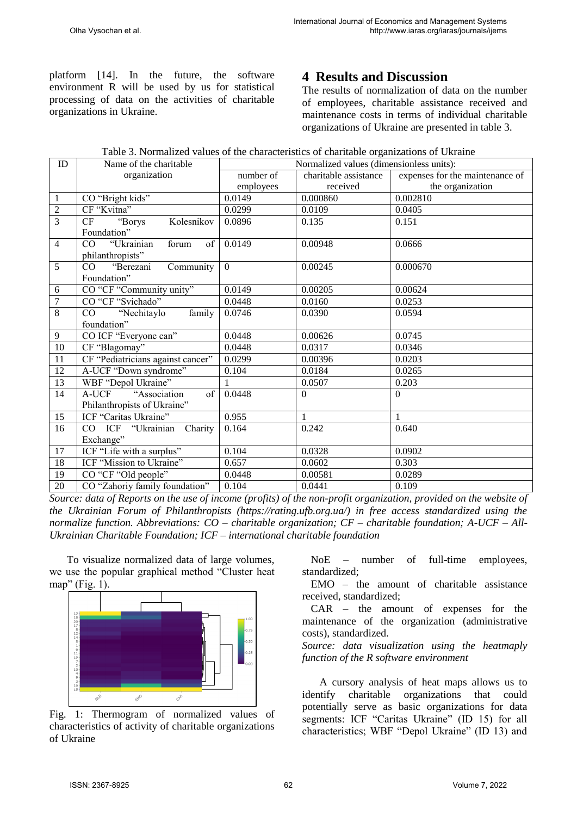platform [14]. In the future, the software environment R will be used by us for statistical processing of data on the activities of charitable organizations in Ukraine.

## **4 Results and Discussion**

The results of normalization of data on the number of employees, charitable assistance received and maintenance costs in terms of individual charitable organizations of Ukraine are presented in table 3.

|  | Table 3. Normalized values of the characteristics of charitable organizations of Ukraine |  |  |  |
|--|------------------------------------------------------------------------------------------|--|--|--|
|--|------------------------------------------------------------------------------------------|--|--|--|

| ID             | Name of the charitable            | Normalized values (dimensionless units): |                       |                                 |  |
|----------------|-----------------------------------|------------------------------------------|-----------------------|---------------------------------|--|
|                | organization                      | number of                                | charitable assistance | expenses for the maintenance of |  |
|                |                                   | employees                                | received              | the organization                |  |
| 1              | CO "Bright kids"                  | 0.0149                                   | 0.000860              | 0.002810                        |  |
| $\overline{2}$ | CF "Kvitna"                       | 0.0299                                   | 0.0109                | 0.0405                          |  |
| $\overline{3}$ | "Borys<br>CF<br>Kolesnikov        | 0.0896                                   | 0.135                 | 0.151                           |  |
|                | Foundation"                       |                                          |                       |                                 |  |
| $\overline{4}$ | "Ukrainian<br>CO<br>forum<br>of   | 0.0149                                   | 0.00948               | 0.0666                          |  |
|                | philanthropists"                  |                                          |                       |                                 |  |
| 5              | "Berezani<br>Community<br>CO      | $\overline{0}$                           | 0.00245               | 0.000670                        |  |
|                | Foundation"                       |                                          |                       |                                 |  |
| 6              | CO "CF "Community unity"          | 0.0149                                   | 0.00205               | 0.00624                         |  |
| $\overline{7}$ | CO "CF "Svichado"                 | 0.0448                                   | 0.0160                | 0.0253                          |  |
| 8              | "Nechitaylo<br>family<br>CO       | 0.0746                                   | 0.0390                | 0.0594                          |  |
|                | foundation"                       |                                          |                       |                                 |  |
| 9              | CO ICF "Everyone can"             | 0.0448                                   | 0.00626               | 0.0745                          |  |
| 10             | CF "Blagomay"                     | 0.0448                                   | 0.0317                | 0.0346                          |  |
| 11             | CF "Pediatricians against cancer" | 0.0299                                   | 0.00396               | 0.0203                          |  |
| 12             | A-UCF "Down syndrome"             | 0.104                                    | 0.0184                | 0.0265                          |  |
| 13             | WBF "Depol Ukraine"               |                                          | 0.0507                | 0.203                           |  |
| 14             | A-UCF<br>"Association<br>of       | 0.0448                                   | $\Omega$              | $\Omega$                        |  |
|                | Philanthropists of Ukraine"       |                                          |                       |                                 |  |
| 15             | ICF "Caritas Ukraine"             | 0.955                                    | 1                     | 1                               |  |
| 16             | CO ICF "Ukrainian Charity         | 0.164                                    | 0.242                 | 0.640                           |  |
|                | Exchange"                         |                                          |                       |                                 |  |
| 17             | ICF "Life with a surplus"         | 0.104                                    | 0.0328                | 0.0902                          |  |
| 18             | ICF "Mission to Ukraine"          | 0.657                                    | 0.0602                | 0.303                           |  |
| 19             | CO "CF "Old people"               | 0.0448                                   | 0.00581               | 0.0289                          |  |
| $20\,$         | CO "Zahoriy family foundation"    | 0.104                                    | 0.0441                | 0.109                           |  |

*Source: data of Reports on the use of income (profits) of the non-profit organization, provided on the website of the Ukrainian Forum of Philanthropists (https://rating.ufb.org.ua/) in free access standardized using the normalize function. Abbreviations: CO – charitable organization; CF – charitable foundation; A-UCF – All-Ukrainian Charitable Foundation; ICF – international charitable foundation*

To visualize normalized data of large volumes, we use the popular graphical method "Cluster heat map" (Fig. 1).



Fig. 1: Thermogram of normalized values of characteristics of activity of charitable organizations of Ukraine

NoE – number of full-time employees, standardized;

EMO – the amount of charitable assistance received, standardized;

CAR – the amount of expenses for the maintenance of the organization (administrative costs), standardized.

*Source: data visualization using the heatmaply function of the R software environment*

A cursory analysis of heat maps allows us to identify charitable organizations that could potentially serve as basic organizations for data segments: ICF "Caritas Ukraine" (ID 15) for all characteristics; WBF "Depol Ukraine" (ID 13) and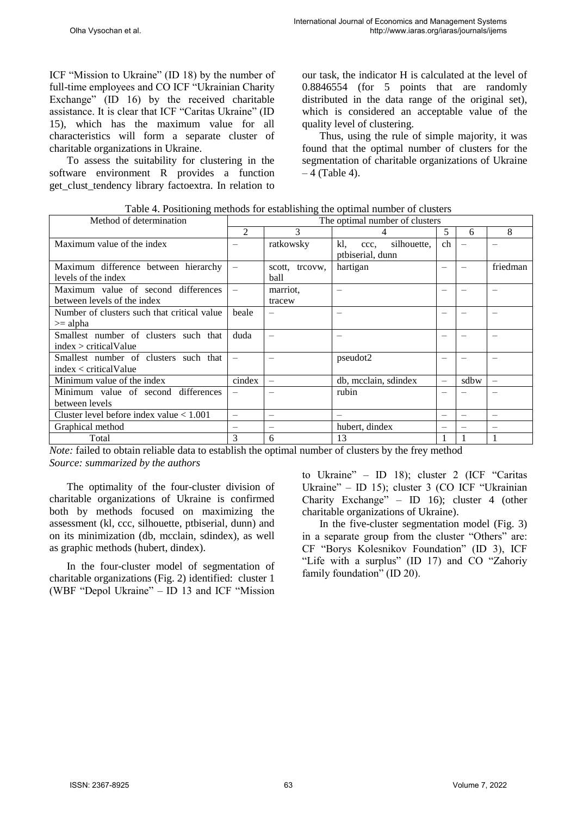ICF "Mission to Ukraine" (ID 18) by the number of full-time employees and CO ICF "Ukrainian Charity Exchange" (ID 16) by the received charitable assistance. It is clear that ICF "Caritas Ukraine" (ID 15), which has the maximum value for all characteristics will form a separate cluster of charitable organizations in Ukraine.

To assess the suitability for clustering in the software environment R provides a function get\_clust\_tendency library factoextra. In relation to our task, the indicator H is calculated at the level of 0.8846554 (for 5 points that are randomly distributed in the data range of the original set), which is considered an acceptable value of the quality level of clustering.

Thus, using the rule of simple majority, it was found that the optimal number of clusters for the segmentation of charitable organizations of Ukraine  $-4$  (Table 4).

| Table 4. Positioning methods for establishing the optimal number of clusters |  |
|------------------------------------------------------------------------------|--|
|                                                                              |  |

| Method of determination                     | The optimal number of clusters |                   |                            |          |      |          |
|---------------------------------------------|--------------------------------|-------------------|----------------------------|----------|------|----------|
|                                             | $\mathfrak{D}$                 | 3                 |                            | 5        | 6    | 8        |
| Maximum value of the index                  |                                | ratkowsky         | kl,<br>silhouette,<br>ccc. | ch       |      |          |
|                                             |                                |                   | ptbiserial, dunn           |          |      |          |
| Maximum difference between hierarchy        |                                | scott, treovw,    | hartigan                   |          |      | friedman |
| levels of the index                         |                                | ball              |                            |          |      |          |
| Maximum value of second differences         |                                | marriot.          | $\overline{\phantom{0}}$   |          |      |          |
| between levels of the index                 |                                | tracew            |                            |          |      |          |
| Number of clusters such that critical value | beale                          |                   |                            |          |      |          |
| $>=$ alpha                                  |                                |                   |                            |          |      |          |
| Smallest number of clusters such that       | duda                           |                   |                            |          |      |          |
| index > criticalValue                       |                                |                   |                            |          |      |          |
| Smallest number of clusters such that       |                                |                   | pseudot2                   |          |      |          |
| index < criticalValue                       |                                |                   |                            |          |      |          |
| Minimum value of the index                  | cindex                         | $\qquad \qquad -$ | db, mcclain, sdindex       | $\equiv$ | sdbw |          |
| Minimum value of second differences         |                                |                   | rubin                      |          |      |          |
| between levels                              |                                |                   |                            |          |      |          |
| Cluster level before index value $< 1.001$  |                                |                   |                            |          |      |          |
| Graphical method                            |                                |                   | hubert, dindex             |          |      |          |
| Total                                       | 3                              | 6                 | 13                         |          |      |          |

*Note:* failed to obtain reliable data to establish the optimal number of clusters by the frey method *Source: summarized by the authors*

The optimality of the four-cluster division of charitable organizations of Ukraine is confirmed both by methods focused on maximizing the assessment (kl, ccc, silhouette, ptbiserial, dunn) and on its minimization (db, mcclain, sdindex), as well as graphic methods (hubert, dindex).

In the four-cluster model of segmentation of charitable organizations (Fig. 2) identified: cluster 1 (WBF "Depol Ukraine" – ID 13 and ICF "Mission to Ukraine" – ID 18); cluster 2 (ICF "Caritas Ukraine" – ID 15); cluster 3 (CO ICF "Ukrainian Charity Exchange" – ID 16); cluster 4 (other charitable organizations of Ukraine).

In the five-cluster segmentation model (Fig. 3) in a separate group from the cluster "Others" are: CF "Borys Kolesnikov Foundation" (ID 3), ICF "Life with a surplus" (ID 17) and CO "Zahoriy family foundation" (ID 20).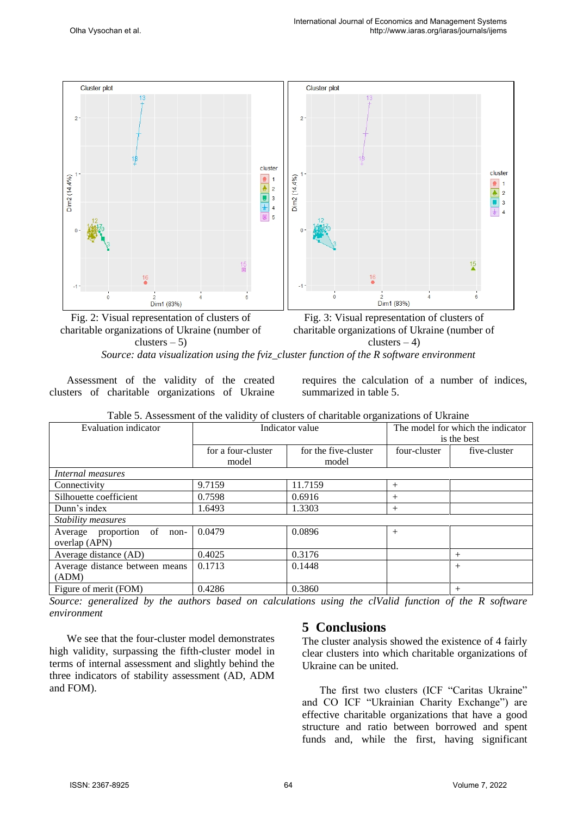

Fig. 2: Visual representation of clusters of charitable organizations of Ukraine (number of  $clusters - 5)$ Fig. 3: Visual representation of clusters of charitable organizations of Ukraine (number of clusters  $-4$ ) *Source: data visualization using the fviz\_cluster function of the R software environment*

Assessment of the validity of the created clusters of charitable organizations of Ukraine

requires the calculation of a number of indices, summarized in table 5.

| Evaluation indicator           | $\circ$<br>Indicator value |                      | The model for which the indicator<br>is the best |              |
|--------------------------------|----------------------------|----------------------|--------------------------------------------------|--------------|
|                                | for a four-cluster         | for the five-cluster | four-cluster                                     | five-cluster |
|                                | model                      | model                |                                                  |              |
| Internal measures              |                            |                      |                                                  |              |
| Connectivity                   | 9.7159                     | 11.7159              | $+$                                              |              |
| Silhouette coefficient         | 0.7598                     | 0.6916               | $^{+}$                                           |              |
| Dunn's index                   | 1.6493                     | 1.3303               | $^{+}$                                           |              |
| Stability measures             |                            |                      |                                                  |              |
| Average proportion of<br>non-  | 0.0479                     | 0.0896               | $+$                                              |              |
| overlap (APN)                  |                            |                      |                                                  |              |
| Average distance (AD)          | 0.4025                     | 0.3176               |                                                  | $+$          |
| Average distance between means | 0.1713                     | 0.1448               |                                                  | $+$          |
| (ADM)                          |                            |                      |                                                  |              |
| Figure of merit (FOM)          | 0.4286                     | 0.3860               |                                                  | $^{+}$       |

|  |  | Table 5. Assessment of the validity of clusters of charitable organizations of Ukraine |  |
|--|--|----------------------------------------------------------------------------------------|--|
|  |  |                                                                                        |  |

*Source: generalized by the authors based on calculations using the clValid function of the R software environment*

We see that the four-cluster model demonstrates high validity, surpassing the fifth-cluster model in terms of internal assessment and slightly behind the three indicators of stability assessment (AD, ADM and FOM).

## **5 Conclusions**

The cluster analysis showed the existence of 4 fairly clear clusters into which charitable organizations of Ukraine can be united.

The first two clusters (ICF "Caritas Ukraine" and CO ICF "Ukrainian Charity Exchange") are effective charitable organizations that have a good structure and ratio between borrowed and spent funds and, while the first, having significant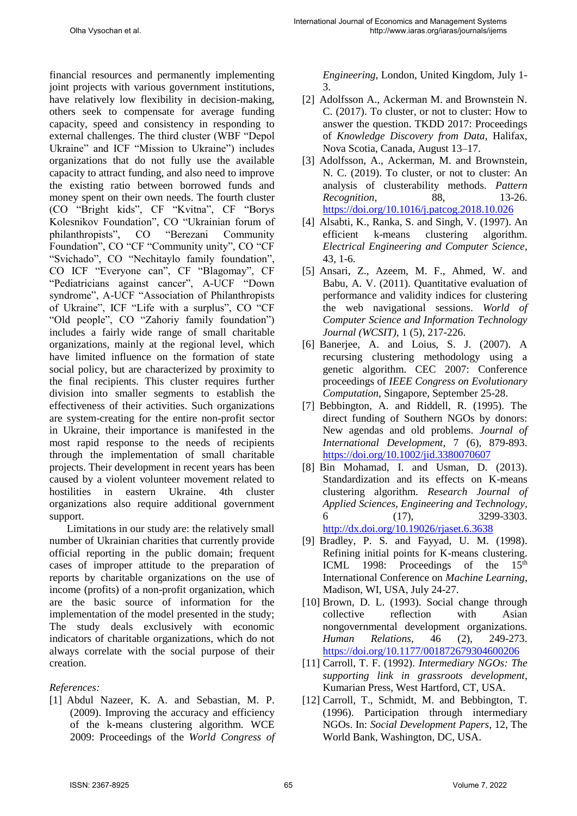financial resources and permanently implementing joint projects with various government institutions, have relatively low flexibility in decision-making, others seek to compensate for average funding capacity, speed and consistency in responding to external challenges. The third cluster (WBF "Depol Ukraine" and ICF "Mission to Ukraine") includes organizations that do not fully use the available capacity to attract funding, and also need to improve the existing ratio between borrowed funds and money spent on their own needs. The fourth cluster (CO "Bright kids", CF "Kvitna", CF "Borys Kolesnikov Foundation", CO "Ukrainian forum of philanthropists", CO "Berezani Community Foundation", CO "CF "Community unity", CO "CF "Svichado", CO "Nechitaylo family foundation", CO ICF "Everyone can", CF "Blagomay", CF "Pediatricians against cancer", A-UCF "Down syndrome", A-UCF "Association of Philanthropists of Ukraine", ICF "Life with a surplus", CO "CF "Old people", CO "Zahoriy family foundation") includes a fairly wide range of small charitable organizations, mainly at the regional level, which have limited influence on the formation of state social policy, but are characterized by proximity to the final recipients. This cluster requires further division into smaller segments to establish the effectiveness of their activities. Such organizations are system-creating for the entire non-profit sector in Ukraine, their importance is manifested in the most rapid response to the needs of recipients through the implementation of small charitable projects. Their development in recent years has been caused by a violent volunteer movement related to hostilities in eastern Ukraine. 4th cluster organizations also require additional government support.

Limitations in our study are: the relatively small number of Ukrainian charities that currently provide official reporting in the public domain; frequent cases of improper attitude to the preparation of reports by charitable organizations on the use of income (profits) of a non-profit organization, which are the basic source of information for the implementation of the model presented in the study; The study deals exclusively with economic indicators of charitable organizations, which do not always correlate with the social purpose of their creation.

## *References:*

[1] Abdul Nazeer, K. A. and Sebastian, M. P. (2009). Improving the accuracy and efficiency of the k-means clustering algorithm. WCE 2009: Proceedings of the *World Congress of*  *Engineering*, London, United Kingdom, July 1- 3.

- [2] Adolfsson A., Ackerman M. and Brownstein N. C. (2017). To cluster, or not to cluster: How to answer the question. TKDD 2017: Proceedings of *Knowledge Discovery from Data*, Halifax, Nova Scotia, Canada, August 13–17.
- [3] Adolfsson, A., Ackerman, M. and Brownstein, N. C. (2019). To cluster, or not to cluster: An analysis of clusterability methods. *Pattern Recognition*, 88, 13-26. <https://doi.org/10.1016/j.patcog.2018.10.026>
- [4] Alsabti, K., Ranka, S. and Singh, V. (1997). An efficient k-means clustering algorithm. *Electrical Engineering and Computer Science*, 43, 1-6.
- [5] Ansari, Z., Azeem, M. F., Ahmed, W. and Babu, A. V. (2011). Quantitative evaluation of performance and validity indices for clustering the web navigational sessions. *World of Computer Science and Information Technology Journal (WCSIT)*, 1 (5), 217-226.
- [6] Banerjee, A. and Loius, S. J. (2007). A recursing clustering methodology using a genetic algorithm. CEC 2007: Conference proceedings of *IEEE Congress on Evolutionary Computation*, Singapore, September 25-28.
- [7] Bebbington, A. and Riddell, R. (1995). The direct funding of Southern NGOs by donors: New agendas and old problems. *Journal of International Development*, 7 (6), 879-893. <https://doi.org/10.1002/jid.3380070607>
- [8] Bin Mohamad, I. and Usman, D. (2013). Standardization and its effects on K-means clustering algorithm. *Research Journal of Applied Sciences, Engineering and Technology*, 6 (17), 3299-3303. <http://dx.doi.org/10.19026/rjaset.6.3638>
- [9] Bradley, P. S. and Fayyad, U. M. (1998). Refining initial points for K-means clustering. ICML 1998: Proceedings of the  $15<sup>th</sup>$ International Conference on *Machine Learning*, Madison, WI, USA, July 24-27.
- [10] Brown, D. L. (1993). Social change through collective reflection with Asian nongovernmental development organizations. *Human Relations*, 46 (2), 249-273. <https://doi.org/10.1177/001872679304600206>
- [11] Carroll, T. F. (1992). *Intermediary NGOs: The supporting link in grassroots development*, Kumarian Press, West Hartford, CT, USA.
- [12] Carroll, T., Schmidt, M. and Bebbington, T. (1996). Participation through intermediary NGOs. In: *Social Development Papers*, 12, The World Bank, Washington, DC, USA.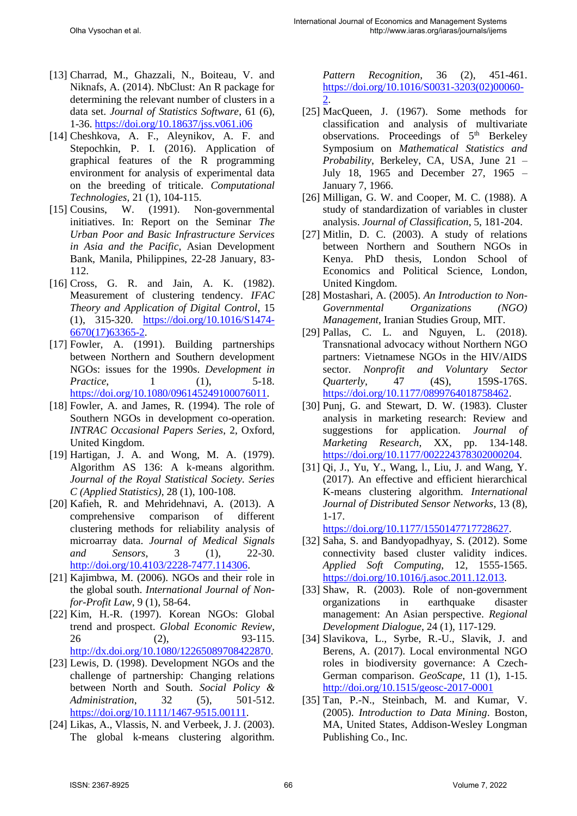- [13] Charrad, M., Ghazzali, N., Boiteau, V. and Niknafs, A. (2014). NbClust: An R package for determining the relevant number of clusters in a data set. *Journal of Statistics Software*, 61 (6), 1-36.<https://doi.org/10.18637/jss.v061.i06>
- [14] Cheshkova, A. F., Aleynikov, A. F. and Stepochkin, P. I. (2016). Application of graphical features of the R programming environment for analysis of experimental data on the breeding of triticale. *Computational Technologies*, 21 (1), 104-115.
- [15] Cousins, W. (1991). Non-governmental initiatives. In: Report on the Seminar *The Urban Poor and Basic Infrastructure Services in Asia and the Pacific*, Asian Development Bank, Manila, Philippines, 22-28 January, 83- 112.
- [16] Cross, G. R. and Jain, A. K. (1982). Measurement of clustering tendency. *IFAC Theory and Application of Digital Control*, 15 (1), 315-320. [https://doi.org/10.1016/S1474-](https://doi.org/10.1016/S1474-6670(17)63365-2) [6670\(17\)63365-2.](https://doi.org/10.1016/S1474-6670(17)63365-2)
- [17] Fowler, A. (1991). Building partnerships between Northern and Southern development NGOs: issues for the 1990s. *Development in Practice*, 1 (1), 5-18. [https://doi.org/10.1080/096145249100076011.](https://doi.org/10.1080/096145249100076011)
- [18] Fowler, A. and James, R. (1994). The role of Southern NGOs in development co-operation. *INTRAC Occasional Papers Series*, 2, Oxford, United Kingdom.
- [19] Hartigan, J. A. and Wong, M. A. (1979). Algorithm AS 136: A k-means algorithm. *Journal of the Royal Statistical Society. Series C (Applied Statistics)*, 28 (1), 100-108.
- [20] Kafieh, R. and Mehridehnavi, A. (2013). A comprehensive comparison of different clustering methods for reliability analysis of microarray data. *Journal of Medical Signals and Sensors*, 3 (1), 22-30. [http://doi.org/10.4103/2228-7477.114306.](http://doi.org/10.4103/2228-7477.114306)
- [21] Kajimbwa, M. (2006). NGOs and their role in the global south. *International Journal of Nonfor-Profit Law*, 9 (1), 58-64.
- [22] Kim, H.-R. (1997). Korean NGOs: Global trend and prospect. *Global Economic Review*, 26 (2), 93-115. [http://dx.doi.org/10.1080/12265089708422870.](http://dx.doi.org/10.1080/12265089708422870)
- [23] Lewis, D. (1998). Development NGOs and the challenge of partnership: Changing relations between North and South. *Social Policy & Administration*, 32 (5), 501-512. [https://doi.org/10.1111/1467-9515.00111.](https://doi.org/10.1111/1467-9515.00111)
- [24] Likas, A., Vlassis, N. and Verbeek, J. J. (2003). The global k-means clustering algorithm.

*Pattern Recognition*, 36 (2), 451-461. [https://doi.org/10.1016/S0031-3203\(02\)00060-](https://doi.org/10.1016/S0031-3203(02)00060-2) [2.](https://doi.org/10.1016/S0031-3203(02)00060-2)

- [25] MacQueen, J. (1967). Some methods for classification and analysis of multivariate observations. Proceedings of 5<sup>th</sup> Berkeley Symposium on *Mathematical Statistics and Probability*, Berkeley, CA, USA, June 21 – July 18, 1965 and December 27, 1965 – January 7, 1966.
- [26] Milligan, G. W. and Cooper, M. C. (1988). A study of standardization of variables in cluster analysis. *Journal of Classification*, 5, 181-204.
- [27] Mitlin, D. C. (2003). A study of relations between Northern and Southern NGOs in Kenya. PhD thesis, London School of Economics and Political Science, London, United Kingdom.
- [28] Mostashari, A. (2005). *An Introduction to Non-Governmental Organizations (NGO) Management*, Iranian Studies Group, MIT.
- [29] Pallas, C. L. and Nguyen, L. (2018). Transnational advocacy without Northern NGO partners: Vietnamese NGOs in the HIV/AIDS sector. *Nonprofit and Voluntary Sector Quarterly*, 47 (4S), 159S-176S. [https://doi.org/10.1177/0899764018758462.](https://doi.org/10.1177/0899764018758462)
- [30] Punj, G. and Stewart, D. W. (1983). Cluster analysis in marketing research: Review and suggestions for application. *Journal of Marketing Research*, XX, pp. 134-148. [https://doi.org/10.1177/002224378302000204.](https://doi.org/10.1177/002224378302000204)
- [31] Qi, J., Yu, Y., Wang, l., Liu, J. and Wang, Y. (2017). An effective and efficient hierarchical K-means clustering algorithm. *International Journal of Distributed Sensor Networks*, 13 (8), 1-17.

[https://doi.org/10.1177/1550147717728627.](https://doi.org/10.1177/1550147717728627)

- [32] Saha, S. and Bandyopadhyay, S. (2012). Some connectivity based cluster validity indices. *Applied Soft Computing*, 12, 1555-1565. [https://doi.org/10.1016/j.asoc.2011.12.013.](https://doi.org/10.1016/j.asoc.2011.12.013)
- [33] Shaw, R. (2003). Role of non-government organizations in earthquake disaster management: An Asian perspective. *Regional Development Dialogue*, 24 (1), 117-129.
- [34] Slavikova, L., Syrbe, R.-U., Slavik, J. and Berens, A. (2017). Local environmental NGO roles in biodiversity governance: A Czech-German comparison. *GeoScape*, 11 (1), 1-15. <http://doi.org/10.1515/geosc-2017-0001>
- [35] Tan, P.-N., Steinbach, M. and Kumar, V. (2005). *Introduction to Data Mining*. Boston, MA, United States, Addison-Wesley Longman Publishing Co., Inc.